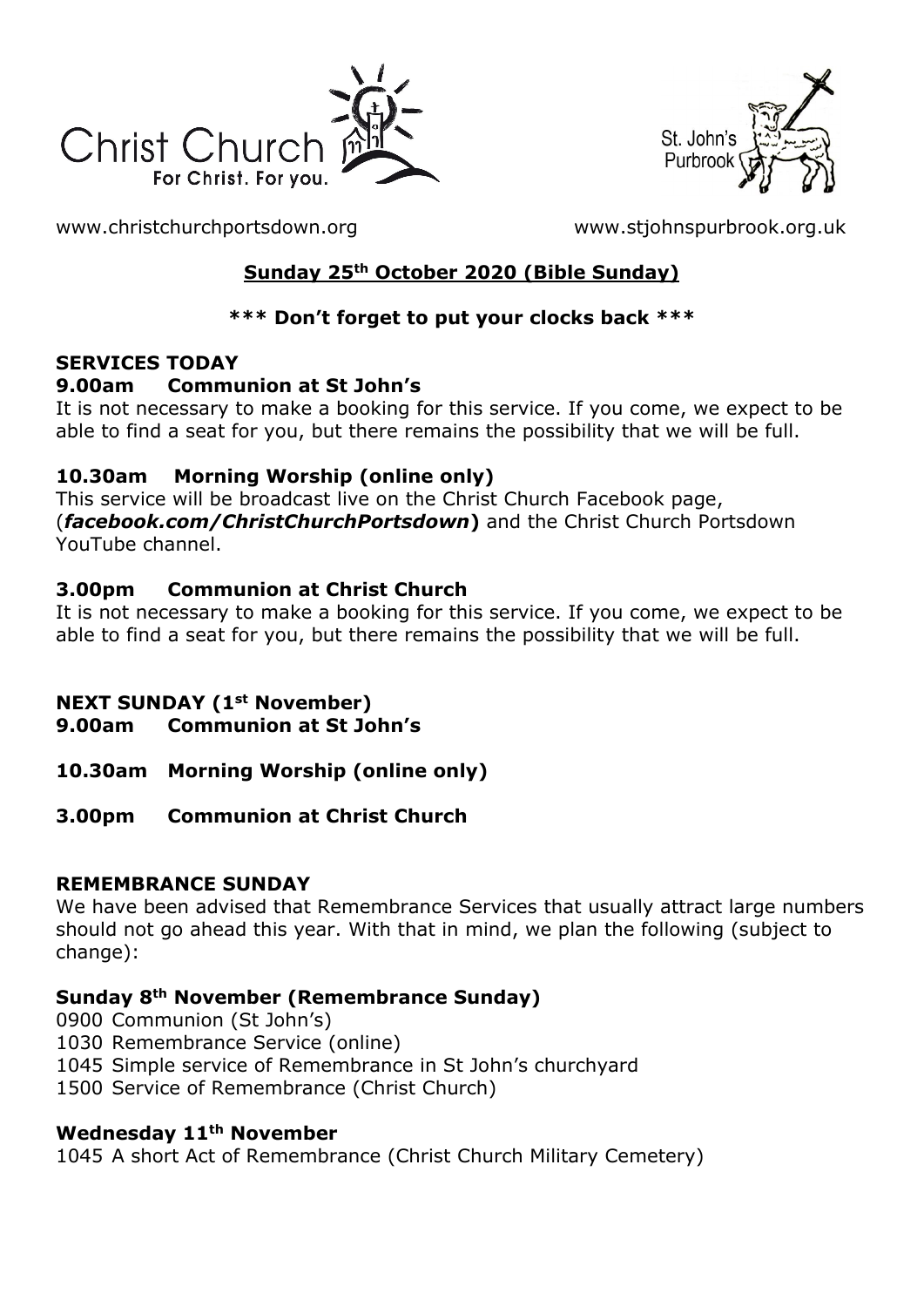



[www.christchurchportsdown.org](http://www.christchurchportsdown.org/) [www.stjohnspurbrook.org.uk](http://www.stjohnspurbrook.org.uk/)

# **Sunday 25th October 2020 (Bible Sunday)**

# **\*\*\* Don't forget to put your clocks back \*\*\***

### **SERVICES TODAY**

#### **9.00am Communion at St John's**

It is not necessary to make a booking for this service. If you come, we expect to be able to find a seat for you, but there remains the possibility that we will be full.

### **10.30am Morning Worship (online only)**

This service will be broadcast live on the Christ Church Facebook page, (*facebook.com/ChristChurchPortsdown***)** and the Christ Church Portsdown YouTube channel.

### **3.00pm Communion at Christ Church**

It is not necessary to make a booking for this service. If you come, we expect to be able to find a seat for you, but there remains the possibility that we will be full.

### **NEXT SUNDAY (1st November)**

**9.00am Communion at St John's**

- **10.30am Morning Worship (online only)**
- **3.00pm Communion at Christ Church**

### **REMEMBRANCE SUNDAY**

We have been advised that Remembrance Services that usually attract large numbers should not go ahead this year. With that in mind, we plan the following (subject to change):

### **Sunday 8th November (Remembrance Sunday)**

- 0900 Communion (St John's)
- 1030 Remembrance Service (online)
- 1045 Simple service of Remembrance in St John's churchyard
- 1500 Service of Remembrance (Christ Church)

### **Wednesday 11th November**

1045 A short Act of Remembrance (Christ Church Military Cemetery)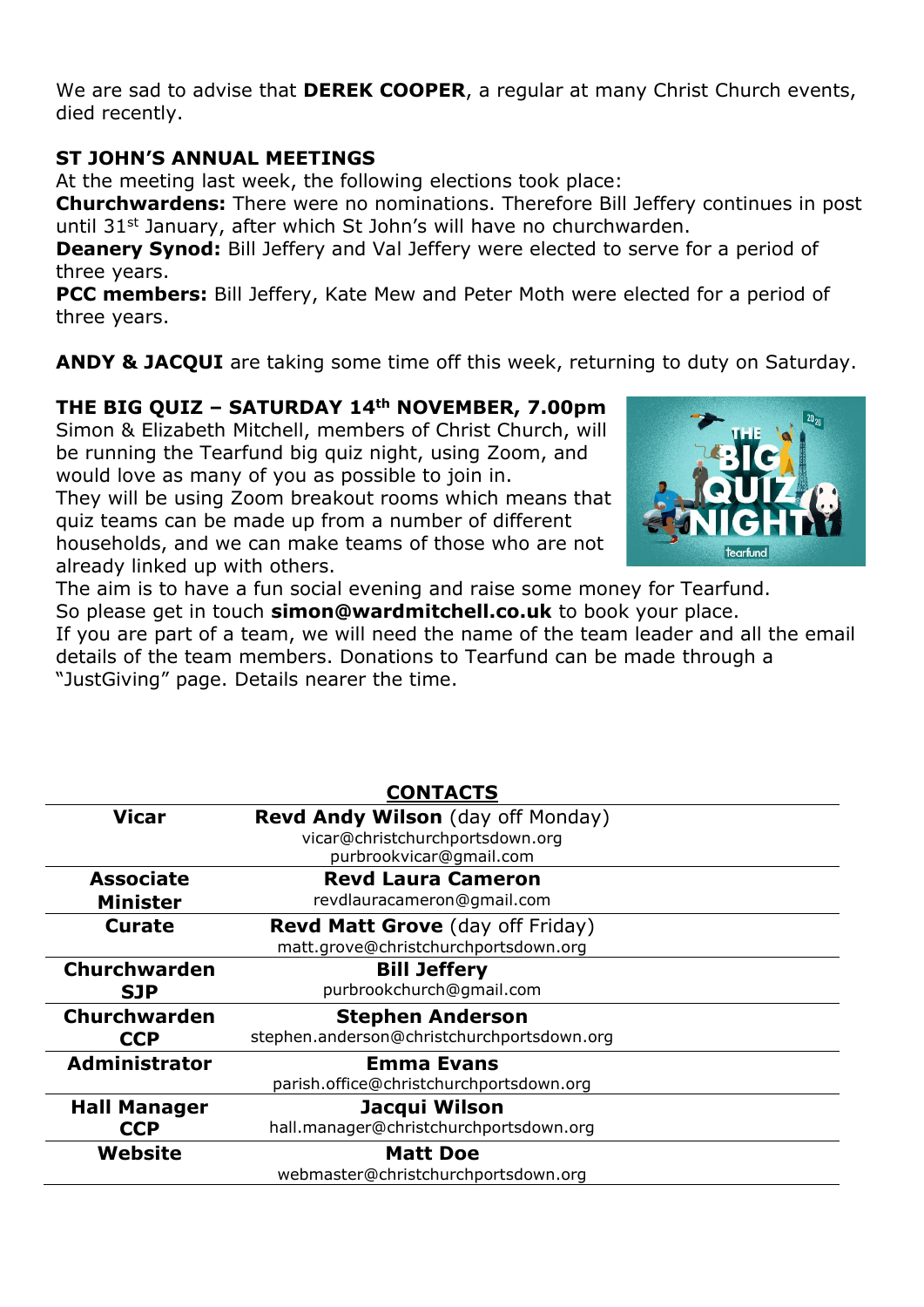We are sad to advise that **DEREK COOPER**, a regular at many Christ Church events, died recently.

#### **ST JOHN'S ANNUAL MEETINGS**

At the meeting last week, the following elections took place:

**Churchwardens:** There were no nominations. Therefore Bill Jeffery continues in post until 31<sup>st</sup> January, after which St John's will have no churchwarden.

**Deanery Synod:** Bill Jeffery and Val Jeffery were elected to serve for a period of three years.

**PCC members:** Bill Jeffery, Kate Mew and Peter Moth were elected for a period of three years.

**ANDY & JACQUI** are taking some time off this week, returning to duty on Saturday.

# **THE BIG QUIZ – SATURDAY 14th NOVEMBER, 7.00pm**

Simon & Elizabeth Mitchell, members of Christ Church, will be running the Tearfund big quiz night, using Zoom, and would love as many of you as possible to join in.

They will be using Zoom breakout rooms which means that quiz teams can be made up from a number of different households, and we can make teams of those who are not already linked up with others.



The aim is to have a fun social evening and raise some money for Tearfund. So please get in touch **[simon@wardmitchell.co.uk](mailto:simon@wardmitchell.co.uk)** to book your place. If you are part of a team, we will need the name of the team leader and all the email details of the team members. Donations to Tearfund can be made through a "JustGiving" page. Details nearer the time.

|                      | <b>CONTACTS</b>                                                      |
|----------------------|----------------------------------------------------------------------|
| <b>Vicar</b>         | Revd Andy Wilson (day off Monday)<br>vicar@christchurchportsdown.org |
|                      | purbrookvicar@gmail.com                                              |
| <b>Associate</b>     | <b>Revd Laura Cameron</b>                                            |
| <b>Minister</b>      | revdlauracameron@gmail.com                                           |
| <b>Curate</b>        | <b>Revd Matt Grove</b> (day off Friday)                              |
|                      | matt.grove@christchurchportsdown.org                                 |
| <b>Churchwarden</b>  | <b>Bill Jeffery</b>                                                  |
| <b>SJP</b>           | purbrookchurch@qmail.com                                             |
| Churchwarden         | <b>Stephen Anderson</b>                                              |
| <b>CCP</b>           | stephen.anderson@christchurchportsdown.org                           |
| <b>Administrator</b> | <b>Emma Evans</b>                                                    |
|                      | parish.office@christchurchportsdown.org                              |
| <b>Hall Manager</b>  | Jacqui Wilson                                                        |
| <b>CCP</b>           | hall.manager@christchurchportsdown.org                               |
| Website              | <b>Matt Doe</b>                                                      |
|                      | webmaster@christchurchportsdown.org                                  |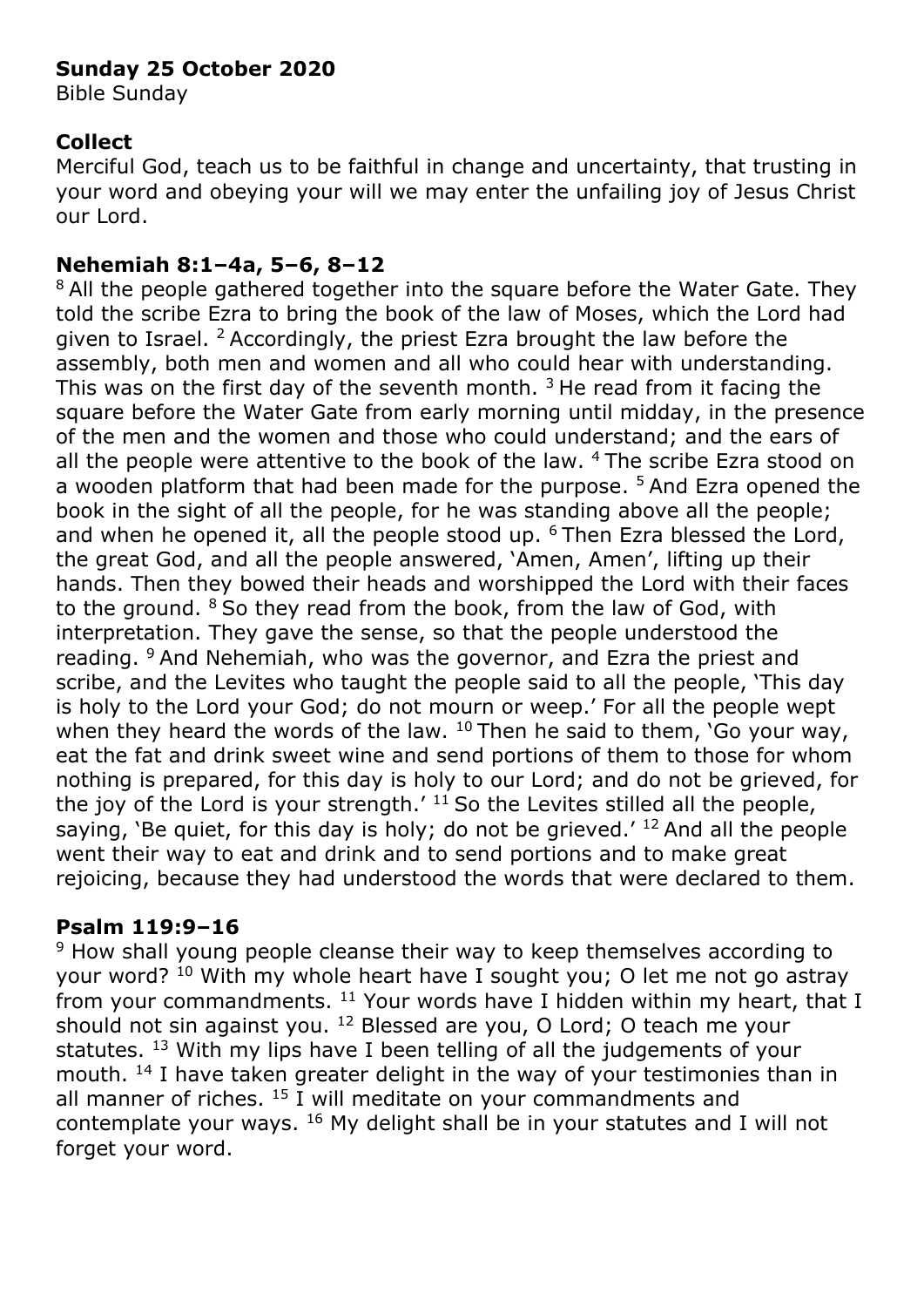# **Sunday 25 October 2020**

Bible Sunday

### **Collect**

Merciful God, teach us to be faithful in change and uncertainty, that trusting in your word and obeying your will we may enter the unfailing joy of Jesus Christ our Lord.

## **Nehemiah 8:1–4a, 5–6, 8–12**

<sup>8</sup> All the people gathered together into the square before the Water Gate. They told the scribe Ezra to bring the book of the law of Moses, which the Lord had given to Israel.  $2$  Accordingly, the priest Ezra brought the law before the assembly, both men and women and all who could hear with understanding. This was on the first day of the seventh month.  $3$  He read from it facing the square before the Water Gate from early morning until midday, in the presence of the men and the women and those who could understand; and the ears of all the people were attentive to the book of the law. <sup>4</sup> The scribe Ezra stood on a wooden platform that had been made for the purpose.<sup>5</sup> And Ezra opened the book in the sight of all the people, for he was standing above all the people; and when he opened it, all the people stood up. <sup>6</sup>Then Ezra blessed the Lord, the great God, and all the people answered, 'Amen, Amen', lifting up their hands. Then they bowed their heads and worshipped the Lord with their faces to the ground.  $8$  So they read from the book, from the law of God, with interpretation. They gave the sense, so that the people understood the reading. <sup>9</sup> And Nehemiah, who was the governor, and Ezra the priest and scribe, and the Levites who taught the people said to all the people, 'This day is holy to the Lord your God; do not mourn or weep.' For all the people wept when they heard the words of the law.  $10$  Then he said to them, 'Go your way, eat the fat and drink sweet wine and send portions of them to those for whom nothing is prepared, for this day is holy to our Lord; and do not be grieved, for the joy of the Lord is your strength.<sup> $11$ </sup> So the Levites stilled all the people, saying, 'Be quiet, for this day is holy; do not be grieved.'  $^{12}$  And all the people went their way to eat and drink and to send portions and to make great rejoicing, because they had understood the words that were declared to them.

### **Psalm 119:9–16**

<sup>9</sup> How shall young people cleanse their way to keep themselves according to your word? <sup>10</sup> With my whole heart have I sought you; O let me not go astray from your commandments.  $11$  Your words have I hidden within my heart, that I should not sin against you. <sup>12</sup> Blessed are you, O Lord; O teach me your statutes. <sup>13</sup> With my lips have I been telling of all the judgements of your mouth. <sup>14</sup> I have taken greater delight in the way of your testimonies than in all manner of riches.  $15$  I will meditate on your commandments and contemplate your ways. <sup>16</sup> My delight shall be in your statutes and I will not forget your word.